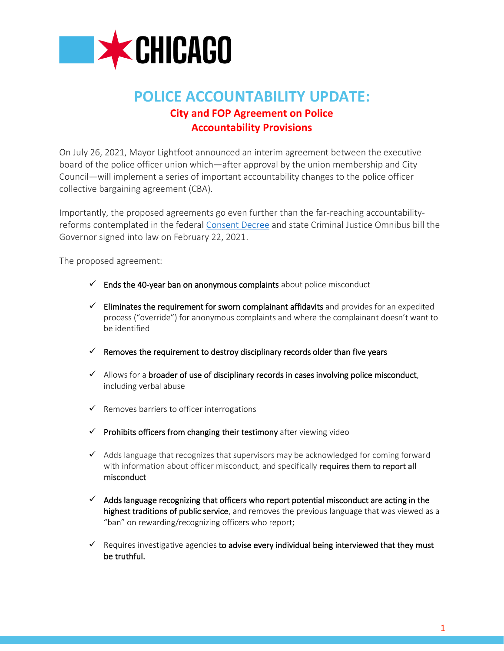

# **POLICE ACCOUNTABILITY UPDATE: City and FOP Agreement on Police Accountability Provisions**

On July 26, 2021, Mayor Lightfoot announced an interim agreement between the executive board of the police officer union which—after approval by the union membership and City Council—will implement a series of important accountability changes to the police officer collective bargaining agreement (CBA).

Importantly, the proposed agreements go even further than the far-reaching accountabilityreforms contemplated in the federal [Consent Decree](https://www.chicago.gov/city/en/sites/public-safety-and-violence-reduction/home/consent-decree.html) and state Criminal Justice Omnibus bill the Governor signed into law on February 22, 2021.

The proposed agreement:

- $\checkmark$  Ends the 40-year ban on anonymous complaints about police misconduct
- $\checkmark$  Eliminates the requirement for sworn complainant affidavits and provides for an expedited process ("override") for anonymous complaints and where the complainant doesn't want to be identified
- $\checkmark$  Removes the requirement to destroy disciplinary records older than five years
- $\checkmark$  Allows for a broader of use of disciplinary records in cases involving police misconduct, including verbal abuse
- ✓ Removes barriers to officer interrogations
- ✓ Prohibits officers from changing their testimony after viewing video
- $\checkmark$  Adds language that recognizes that supervisors may be acknowledged for coming forward with information about officer misconduct, and specifically requires them to report all misconduct
- $\checkmark$  Adds language recognizing that officers who report potential misconduct are acting in the highest traditions of public service, and removes the previous language that was viewed as a "ban" on rewarding/recognizing officers who report;
- $\checkmark$  Requires investigative agencies to advise every individual being interviewed that they must be truthful.

1